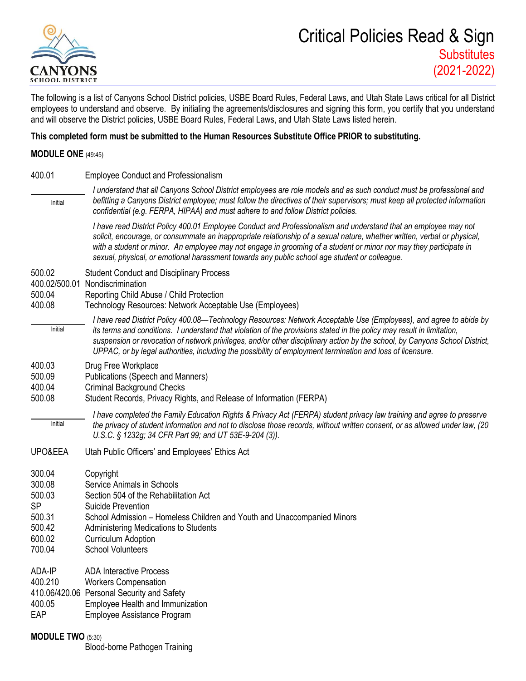

The following is a list of Canyons School District policies, USBE Board Rules, Federal Laws, and Utah State Laws critical for all District employees to understand and observe. By initialing the agreements/disclosures and signing this form, you certify that you understand and will observe the District policies, USBE Board Rules, Federal Laws, and Utah State Laws listed herein.

## **This completed form must be submitted to the Human Resources Substitute Office PRIOR to substituting.**

## **MODULE ONE** (49:45)

| 400.01                                                                          | <b>Employee Conduct and Professionalism</b>                                                                                                                                                                                                                                                                                                                                                                                                                                               |
|---------------------------------------------------------------------------------|-------------------------------------------------------------------------------------------------------------------------------------------------------------------------------------------------------------------------------------------------------------------------------------------------------------------------------------------------------------------------------------------------------------------------------------------------------------------------------------------|
| Initial                                                                         | I understand that all Canyons School District employees are role models and as such conduct must be professional and<br>befitting a Canyons District employee; must follow the directives of their supervisors; must keep all protected information<br>confidential (e.g. FERPA, HIPAA) and must adhere to and follow District policies.                                                                                                                                                  |
|                                                                                 | I have read District Policy 400.01 Employee Conduct and Professionalism and understand that an employee may not<br>solicit, encourage, or consummate an inappropriate relationship of a sexual nature, whether written, verbal or physical,<br>with a student or minor. An employee may not engage in grooming of a student or minor nor may they participate in<br>sexual, physical, or emotional harassment towards any public school age student or colleague.                         |
| 500.02<br>400.02/500.01<br>500.04<br>400.08                                     | <b>Student Conduct and Disciplinary Process</b><br>Nondiscrimination<br>Reporting Child Abuse / Child Protection<br>Technology Resources: Network Acceptable Use (Employees)                                                                                                                                                                                                                                                                                                              |
| Initial                                                                         | I have read District Policy 400.08—Technology Resources: Network Acceptable Use (Employees), and agree to abide by<br>its terms and conditions. I understand that violation of the provisions stated in the policy may result in limitation,<br>suspension or revocation of network privileges, and/or other disciplinary action by the school, by Canyons School District,<br>UPPAC, or by legal authorities, including the possibility of employment termination and loss of licensure. |
| 400.03<br>500.09<br>400.04<br>500.08                                            | Drug Free Workplace<br><b>Publications (Speech and Manners)</b><br><b>Criminal Background Checks</b><br>Student Records, Privacy Rights, and Release of Information (FERPA)                                                                                                                                                                                                                                                                                                               |
| Initial                                                                         | I have completed the Family Education Rights & Privacy Act (FERPA) student privacy law training and agree to preserve<br>the privacy of student information and not to disclose those records, without written consent, or as allowed under law, (20<br>U.S.C. § 1232g; 34 CFR Part 99; and UT 53E-9-204 (3)).                                                                                                                                                                            |
| UPO&EEA                                                                         | Utah Public Officers' and Employees' Ethics Act                                                                                                                                                                                                                                                                                                                                                                                                                                           |
| 300.04<br>300.08<br>500.03<br><b>SP</b><br>500.31<br>500.42<br>600.02<br>700.04 | Copyright<br>Service Animals in Schools<br>Section 504 of the Rehabilitation Act<br><b>Suicide Prevention</b><br>School Admission – Homeless Children and Youth and Unaccompanied Minors<br>Administering Medications to Students<br><b>Curriculum Adoption</b><br><b>School Volunteers</b>                                                                                                                                                                                               |
| ADA-IP<br>400.210<br>400.05<br>EAP                                              | <b>ADA Interactive Process</b><br><b>Workers Compensation</b><br>410.06/420.06 Personal Security and Safety<br>Employee Health and Immunization<br>Employee Assistance Program                                                                                                                                                                                                                                                                                                            |
| <b>MODULE TWO (5:30)</b>                                                        |                                                                                                                                                                                                                                                                                                                                                                                                                                                                                           |